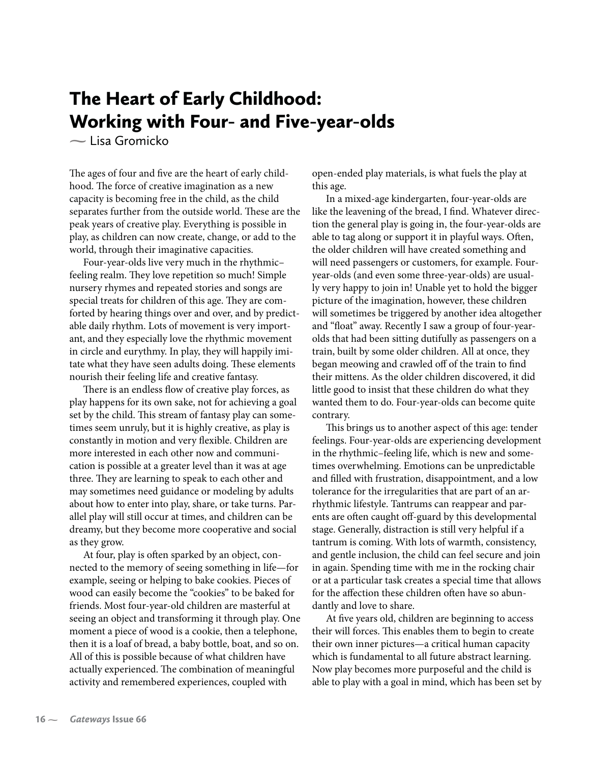## The Heart of Early Childhood: Working with Four- and Five-year-olds

**-** Lisa Gromicko

The ages of four and five are the heart of early childhood. The force of creative imagination as a new capacity is becoming free in the child, as the child separates further from the outside world. These are the peak years of creative play. Everything is possible in play, as children can now create, change, or add to the world, through their imaginative capacities.

Four-year-olds live very much in the rhythmic– feeling realm. They love repetition so much! Simple nursery rhymes and repeated stories and songs are special treats for children of this age. They are comforted by hearing things over and over, and by predictable daily rhythm. Lots of movement is very important, and they especially love the rhythmic movement in circle and eurythmy. In play, they will happily imitate what they have seen adults doing. These elements nourish their feeling life and creative fantasy.

There is an endless flow of creative play forces, as play happens for its own sake, not for achieving a goal set by the child. This stream of fantasy play can sometimes seem unruly, but it is highly creative, as play is constantly in motion and very flexible. Children are more interested in each other now and communication is possible at a greater level than it was at age three. They are learning to speak to each other and may sometimes need guidance or modeling by adults about how to enter into play, share, or take turns. Parallel play will still occur at times, and children can be dreamy, but they become more cooperative and social as they grow.

At four, play is often sparked by an object, connected to the memory of seeing something in life—for example, seeing or helping to bake cookies. Pieces of wood can easily become the "cookies" to be baked for friends. Most four-year-old children are masterful at seeing an object and transforming it through play. One moment a piece of wood is a cookie, then a telephone, then it is a loaf of bread, a baby bottle, boat, and so on. All of this is possible because of what children have actually experienced. The combination of meaningful activity and remembered experiences, coupled with

open-ended play materials, is what fuels the play at this age.

In a mixed-age kindergarten, four-year-olds are like the leavening of the bread, I find. Whatever direction the general play is going in, the four-year-olds are able to tag along or support it in playful ways. Often, the older children will have created something and will need passengers or customers, for example. Fouryear-olds (and even some three-year-olds) are usually very happy to join in! Unable yet to hold the bigger picture of the imagination, however, these children will sometimes be triggered by another idea altogether and "float" away. Recently I saw a group of four-yearolds that had been sitting dutifully as passengers on a train, built by some older children. All at once, they began meowing and crawled off of the train to find their mittens. As the older children discovered, it did little good to insist that these children do what they wanted them to do. Four-year-olds can become quite contrary.

This brings us to another aspect of this age: tender feelings. Four-year-olds are experiencing development in the rhythmic–feeling life, which is new and sometimes overwhelming. Emotions can be unpredictable and filled with frustration, disappointment, and a low tolerance for the irregularities that are part of an arrhythmic lifestyle. Tantrums can reappear and parents are often caught off-guard by this developmental stage. Generally, distraction is still very helpful if a tantrum is coming. With lots of warmth, consistency, and gentle inclusion, the child can feel secure and join in again. Spending time with me in the rocking chair or at a particular task creates a special time that allows for the affection these children often have so abundantly and love to share.

At five years old, children are beginning to access their will forces. This enables them to begin to create their own inner pictures—a critical human capacity which is fundamental to all future abstract learning. Now play becomes more purposeful and the child is able to play with a goal in mind, which has been set by